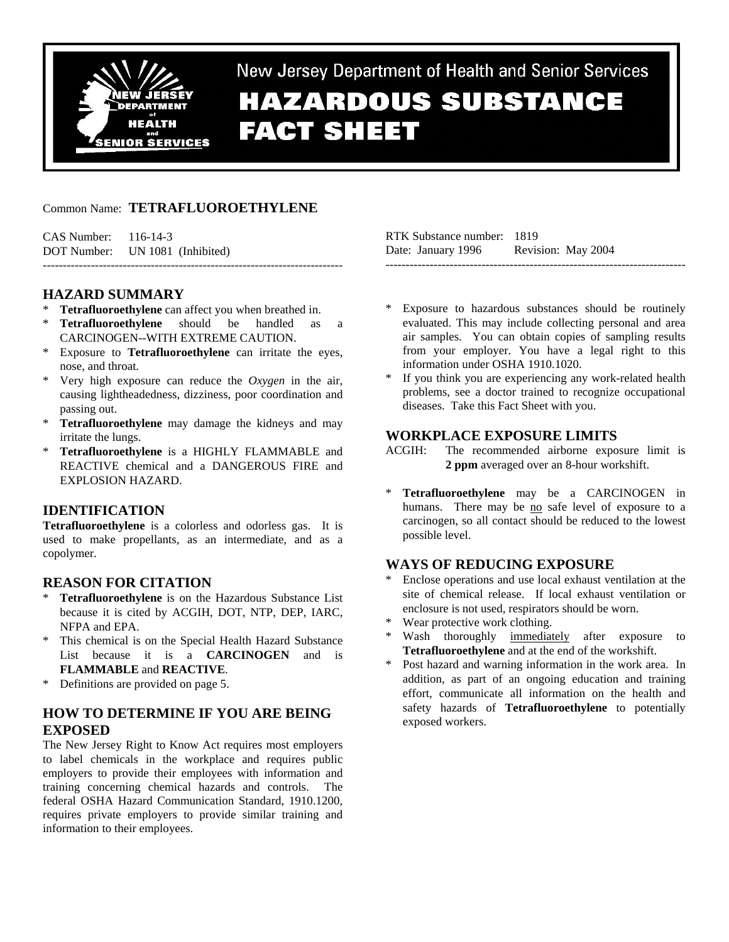

New Jersey Department of Health and Senior Services **HAZARDOUS SUBSTANCE FACT SHEET** 

## Common Name: **TETRAFLUOROETHYLENE**

CAS Number: 116-14-3 DOT Number: UN 1081 (Inhibited) ---------------------------------------------------------------------------

## **HAZARD SUMMARY**

- **Tetrafluoroethylene** can affect you when breathed in.
- **Tetrafluoroethylene** should be handled as a CARCINOGEN--WITH EXTREME CAUTION.
- \* Exposure to **Tetrafluoroethylene** can irritate the eyes, nose, and throat.
- \* Very high exposure can reduce the *Oxygen* in the air, causing lightheadedness, dizziness, poor coordination and passing out.
- \* **Tetrafluoroethylene** may damage the kidneys and may irritate the lungs.
- \* **Tetrafluoroethylene** is a HIGHLY FLAMMABLE and REACTIVE chemical and a DANGEROUS FIRE and EXPLOSION HAZARD.

## **IDENTIFICATION**

**Tetrafluoroethylene** is a colorless and odorless gas. It is used to make propellants, as an intermediate, and as a copolymer.

## **REASON FOR CITATION**

- \* **Tetrafluoroethylene** is on the Hazardous Substance List because it is cited by ACGIH, DOT, NTP, DEP, IARC, NFPA and EPA.
- \* This chemical is on the Special Health Hazard Substance List because it is a **CARCINOGEN** and is **FLAMMABLE** and **REACTIVE**.
- \* Definitions are provided on page 5.

# **HOW TO DETERMINE IF YOU ARE BEING EXPOSED**

The New Jersey Right to Know Act requires most employers to label chemicals in the workplace and requires public employers to provide their employees with information and training concerning chemical hazards and controls. The federal OSHA Hazard Communication Standard, 1910.1200, requires private employers to provide similar training and information to their employees.

RTK Substance number: 1819 Date: January 1996 Revision: May 2004 ---------------------------------------------------------------------------

- Exposure to hazardous substances should be routinely evaluated. This may include collecting personal and area air samples. You can obtain copies of sampling results from your employer. You have a legal right to this information under OSHA 1910.1020.
- If you think you are experiencing any work-related health problems, see a doctor trained to recognize occupational diseases. Take this Fact Sheet with you.

#### **WORKPLACE EXPOSURE LIMITS**

- ACGIH: The recommended airborne exposure limit is **2 ppm** averaged over an 8-hour workshift.
- \* **Tetrafluoroethylene** may be a CARCINOGEN in humans. There may be no safe level of exposure to a carcinogen, so all contact should be reduced to the lowest possible level.

### **WAYS OF REDUCING EXPOSURE**

- Enclose operations and use local exhaust ventilation at the site of chemical release. If local exhaust ventilation or enclosure is not used, respirators should be worn.
- \* Wear protective work clothing.
- Wash thoroughly immediately after exposure to **Tetrafluoroethylene** and at the end of the workshift.
- Post hazard and warning information in the work area. In addition, as part of an ongoing education and training effort, communicate all information on the health and safety hazards of **Tetrafluoroethylene** to potentially exposed workers.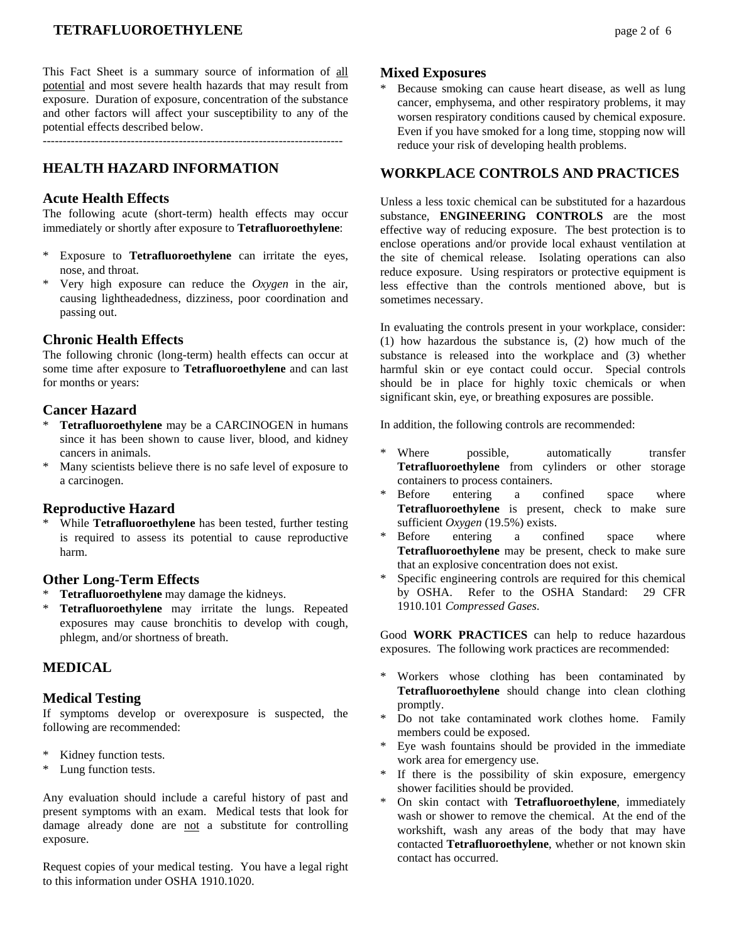# **TETRAFLUOROETHYLENE page 2 of 6**

This Fact Sheet is a summary source of information of all potential and most severe health hazards that may result from exposure. Duration of exposure, concentration of the substance and other factors will affect your susceptibility to any of the potential effects described below.

---------------------------------------------------------------------------

## **HEALTH HAZARD INFORMATION**

#### **Acute Health Effects**

The following acute (short-term) health effects may occur immediately or shortly after exposure to **Tetrafluoroethylene**:

- \* Exposure to **Tetrafluoroethylene** can irritate the eyes, nose, and throat.
- \* Very high exposure can reduce the *Oxygen* in the air, causing lightheadedness, dizziness, poor coordination and passing out.

#### **Chronic Health Effects**

The following chronic (long-term) health effects can occur at some time after exposure to **Tetrafluoroethylene** and can last for months or years:

#### **Cancer Hazard**

- \* **Tetrafluoroethylene** may be a CARCINOGEN in humans since it has been shown to cause liver, blood, and kidney cancers in animals.
- Many scientists believe there is no safe level of exposure to a carcinogen.

#### **Reproductive Hazard**

While **Tetrafluoroethylene** has been tested, further testing is required to assess its potential to cause reproductive harm.

## **Other Long-Term Effects**

- Tetrafluoroethylene may damage the kidneys.
- \* **Tetrafluoroethylene** may irritate the lungs. Repeated exposures may cause bronchitis to develop with cough, phlegm, and/or shortness of breath.

## **MEDICAL**

#### **Medical Testing**

If symptoms develop or overexposure is suspected, the following are recommended:

- Kidney function tests.
- \* Lung function tests.

Any evaluation should include a careful history of past and present symptoms with an exam. Medical tests that look for damage already done are not a substitute for controlling exposure.

Request copies of your medical testing. You have a legal right to this information under OSHA 1910.1020.

#### **Mixed Exposures**

Because smoking can cause heart disease, as well as lung cancer, emphysema, and other respiratory problems, it may worsen respiratory conditions caused by chemical exposure. Even if you have smoked for a long time, stopping now will reduce your risk of developing health problems.

#### **WORKPLACE CONTROLS AND PRACTICES**

Unless a less toxic chemical can be substituted for a hazardous substance, **ENGINEERING CONTROLS** are the most effective way of reducing exposure. The best protection is to enclose operations and/or provide local exhaust ventilation at the site of chemical release. Isolating operations can also reduce exposure. Using respirators or protective equipment is less effective than the controls mentioned above, but is sometimes necessary.

In evaluating the controls present in your workplace, consider: (1) how hazardous the substance is, (2) how much of the substance is released into the workplace and (3) whether harmful skin or eye contact could occur. Special controls should be in place for highly toxic chemicals or when significant skin, eye, or breathing exposures are possible.

In addition, the following controls are recommended:

- Where possible, automatically transfer **Tetrafluoroethylene** from cylinders or other storage containers to process containers.
- \* Before entering a confined space where **Tetrafluoroethylene** is present, check to make sure sufficient *Oxygen* (19.5%) exists.
- Before entering a confined space where **Tetrafluoroethylene** may be present, check to make sure that an explosive concentration does not exist.
- Specific engineering controls are required for this chemical by OSHA. Refer to the OSHA Standard: 29 CFR 1910.101 *Compressed Gases*.

Good **WORK PRACTICES** can help to reduce hazardous exposures. The following work practices are recommended:

- Workers whose clothing has been contaminated by **Tetrafluoroethylene** should change into clean clothing promptly.
- Do not take contaminated work clothes home. Family members could be exposed.
- \* Eye wash fountains should be provided in the immediate work area for emergency use.
- If there is the possibility of skin exposure, emergency shower facilities should be provided.
- On skin contact with **Tetrafluoroethylene**, immediately wash or shower to remove the chemical. At the end of the workshift, wash any areas of the body that may have contacted **Tetrafluoroethylene**, whether or not known skin contact has occurred.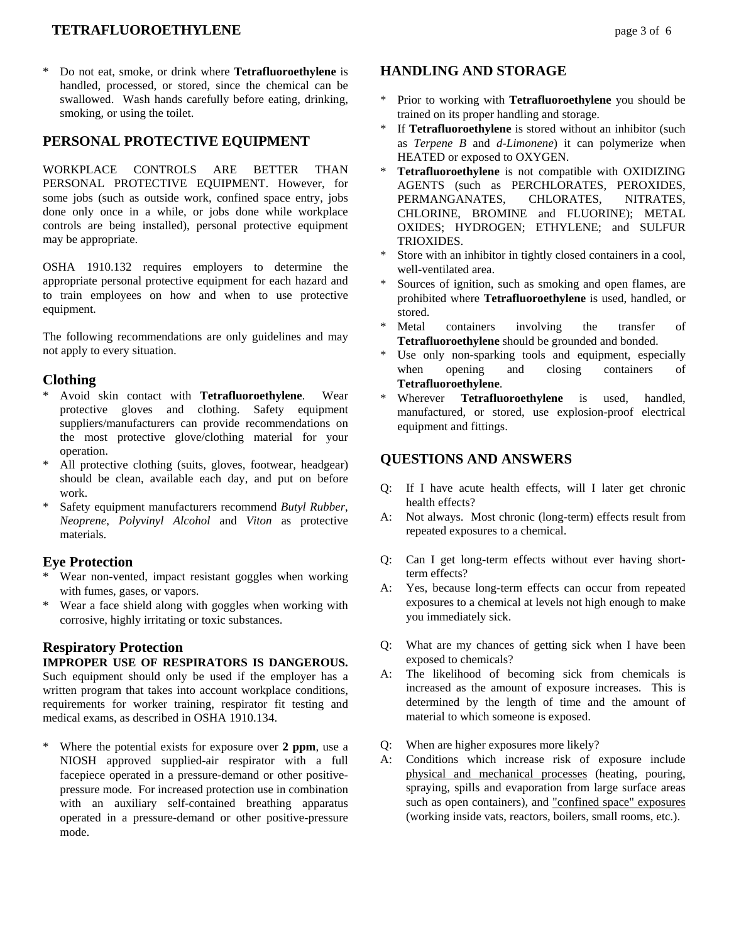# **TETRAFLUOROETHYLENE page 3 of 6**

\* Do not eat, smoke, or drink where **Tetrafluoroethylene** is handled, processed, or stored, since the chemical can be swallowed. Wash hands carefully before eating, drinking, smoking, or using the toilet.

# **PERSONAL PROTECTIVE EQUIPMENT**

WORKPLACE CONTROLS ARE BETTER THAN PERSONAL PROTECTIVE EQUIPMENT. However, for some jobs (such as outside work, confined space entry, jobs done only once in a while, or jobs done while workplace controls are being installed), personal protective equipment may be appropriate.

OSHA 1910.132 requires employers to determine the appropriate personal protective equipment for each hazard and to train employees on how and when to use protective equipment.

The following recommendations are only guidelines and may not apply to every situation.

### **Clothing**

- \* Avoid skin contact with **Tetrafluoroethylene**. Wear protective gloves and clothing. Safety equipment suppliers/manufacturers can provide recommendations on the most protective glove/clothing material for your operation.
- \* All protective clothing (suits, gloves, footwear, headgear) should be clean, available each day, and put on before work.
- Safety equipment manufacturers recommend *Butyl Rubber*, *Neoprene*, *Polyvinyl Alcohol* and *Viton* as protective materials.

### **Eye Protection**

- Wear non-vented, impact resistant goggles when working with fumes, gases, or vapors.
- \* Wear a face shield along with goggles when working with corrosive, highly irritating or toxic substances.

## **Respiratory Protection**

### **IMPROPER USE OF RESPIRATORS IS DANGEROUS.**

Such equipment should only be used if the employer has a written program that takes into account workplace conditions, requirements for worker training, respirator fit testing and medical exams, as described in OSHA 1910.134.

Where the potential exists for exposure over 2 ppm, use a NIOSH approved supplied-air respirator with a full facepiece operated in a pressure-demand or other positivepressure mode. For increased protection use in combination with an auxiliary self-contained breathing apparatus operated in a pressure-demand or other positive-pressure mode.

# **HANDLING AND STORAGE**

- \* Prior to working with **Tetrafluoroethylene** you should be trained on its proper handling and storage.
- \* If **Tetrafluoroethylene** is stored without an inhibitor (such as *Terpene B* and *d-Limonene*) it can polymerize when HEATED or exposed to OXYGEN.
- \* **Tetrafluoroethylene** is not compatible with OXIDIZING AGENTS (such as PERCHLORATES, PEROXIDES, PERMANGANATES, CHLORATES, NITRATES, CHLORINE, BROMINE and FLUORINE); METAL OXIDES; HYDROGEN; ETHYLENE; and SULFUR TRIOXIDES.
- Store with an inhibitor in tightly closed containers in a cool, well-ventilated area.
- Sources of ignition, such as smoking and open flames, are prohibited where **Tetrafluoroethylene** is used, handled, or stored.
- \* Metal containers involving the transfer of **Tetrafluoroethylene** should be grounded and bonded.
- \* Use only non-sparking tools and equipment, especially when opening and closing containers of **Tetrafluoroethylene**.
- \* Wherever **Tetrafluoroethylene** is used, handled, manufactured, or stored, use explosion-proof electrical equipment and fittings.

## **QUESTIONS AND ANSWERS**

- Q: If I have acute health effects, will I later get chronic health effects?
- A: Not always. Most chronic (long-term) effects result from repeated exposures to a chemical.
- Q: Can I get long-term effects without ever having shortterm effects?
- A: Yes, because long-term effects can occur from repeated exposures to a chemical at levels not high enough to make you immediately sick.
- Q: What are my chances of getting sick when I have been exposed to chemicals?
- A: The likelihood of becoming sick from chemicals is increased as the amount of exposure increases. This is determined by the length of time and the amount of material to which someone is exposed.
- Q: When are higher exposures more likely?
- A: Conditions which increase risk of exposure include physical and mechanical processes (heating, pouring, spraying, spills and evaporation from large surface areas such as open containers), and "confined space" exposures (working inside vats, reactors, boilers, small rooms, etc.).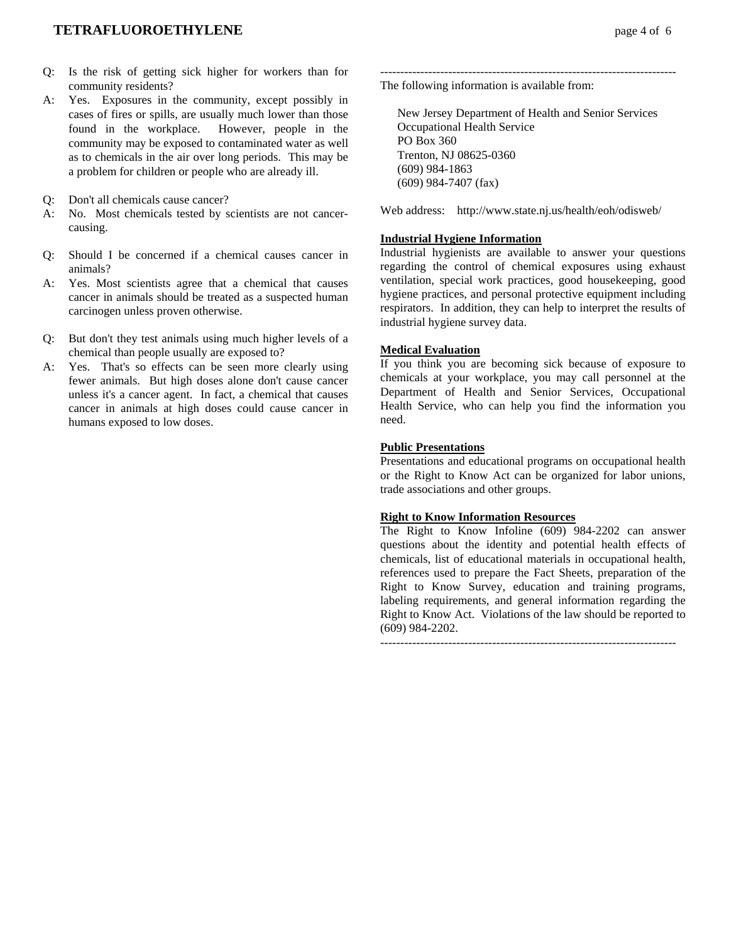- Q: Is the risk of getting sick higher for workers than for community residents?
- A: Yes. Exposures in the community, except possibly in cases of fires or spills, are usually much lower than those found in the workplace. However, people in the community may be exposed to contaminated water as well as to chemicals in the air over long periods. This may be a problem for children or people who are already ill.
- Q: Don't all chemicals cause cancer?
- A: No. Most chemicals tested by scientists are not cancercausing.
- Q: Should I be concerned if a chemical causes cancer in animals?
- A: Yes. Most scientists agree that a chemical that causes cancer in animals should be treated as a suspected human carcinogen unless proven otherwise.
- Q: But don't they test animals using much higher levels of a chemical than people usually are exposed to?
- A: Yes. That's so effects can be seen more clearly using fewer animals. But high doses alone don't cause cancer unless it's a cancer agent. In fact, a chemical that causes cancer in animals at high doses could cause cancer in humans exposed to low doses.

-------------------------------------------------------------------------- The following information is available from:

 New Jersey Department of Health and Senior Services Occupational Health Service PO Box 360 Trenton, NJ 08625-0360 (609) 984-1863 (609) 984-7407 (fax)

Web address: http://www.state.nj.us/health/eoh/odisweb/

#### **Industrial Hygiene Information**

Industrial hygienists are available to answer your questions regarding the control of chemical exposures using exhaust ventilation, special work practices, good housekeeping, good hygiene practices, and personal protective equipment including respirators. In addition, they can help to interpret the results of industrial hygiene survey data.

#### **Medical Evaluation**

If you think you are becoming sick because of exposure to chemicals at your workplace, you may call personnel at the Department of Health and Senior Services, Occupational Health Service, who can help you find the information you need.

#### **Public Presentations**

Presentations and educational programs on occupational health or the Right to Know Act can be organized for labor unions, trade associations and other groups.

#### **Right to Know Information Resources**

The Right to Know Infoline (609) 984-2202 can answer questions about the identity and potential health effects of chemicals, list of educational materials in occupational health, references used to prepare the Fact Sheets, preparation of the Right to Know Survey, education and training programs, labeling requirements, and general information regarding the Right to Know Act. Violations of the law should be reported to (609) 984-2202.

 $-$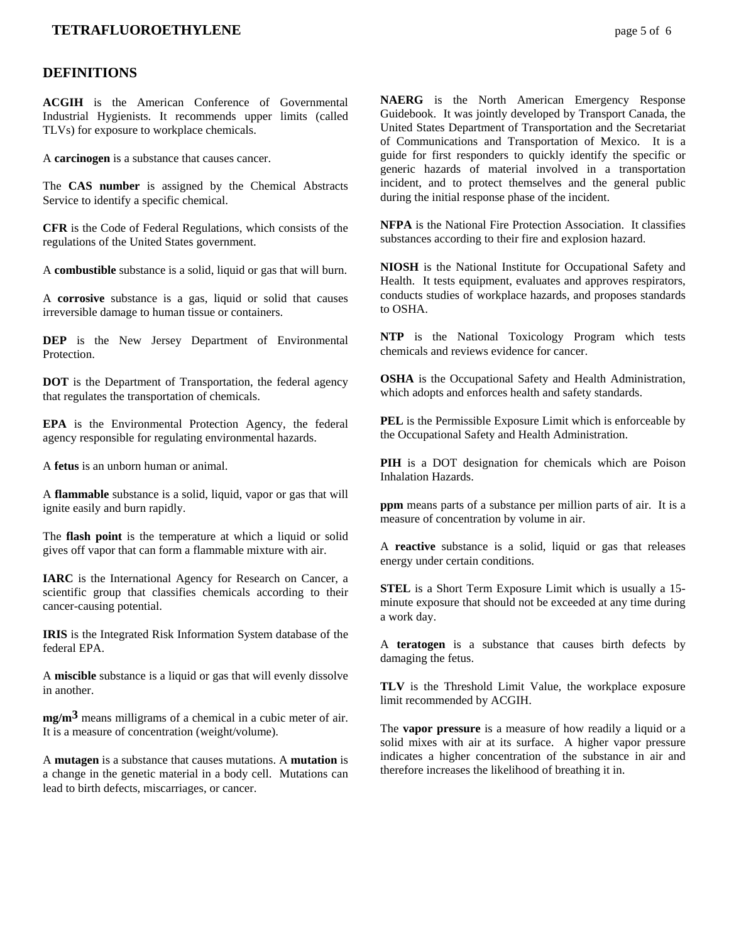### **TETRAFLUOROETHYLENE page 5 of 6**

#### **DEFINITIONS**

**ACGIH** is the American Conference of Governmental Industrial Hygienists. It recommends upper limits (called TLVs) for exposure to workplace chemicals.

A **carcinogen** is a substance that causes cancer.

The **CAS number** is assigned by the Chemical Abstracts Service to identify a specific chemical.

**CFR** is the Code of Federal Regulations, which consists of the regulations of the United States government.

A **combustible** substance is a solid, liquid or gas that will burn.

A **corrosive** substance is a gas, liquid or solid that causes irreversible damage to human tissue or containers.

**DEP** is the New Jersey Department of Environmental **Protection** 

**DOT** is the Department of Transportation, the federal agency that regulates the transportation of chemicals.

**EPA** is the Environmental Protection Agency, the federal agency responsible for regulating environmental hazards.

A **fetus** is an unborn human or animal.

A **flammable** substance is a solid, liquid, vapor or gas that will ignite easily and burn rapidly.

The **flash point** is the temperature at which a liquid or solid gives off vapor that can form a flammable mixture with air.

**IARC** is the International Agency for Research on Cancer, a scientific group that classifies chemicals according to their cancer-causing potential.

**IRIS** is the Integrated Risk Information System database of the federal EPA.

A **miscible** substance is a liquid or gas that will evenly dissolve in another.

**mg/m3** means milligrams of a chemical in a cubic meter of air. It is a measure of concentration (weight/volume).

A **mutagen** is a substance that causes mutations. A **mutation** is a change in the genetic material in a body cell. Mutations can lead to birth defects, miscarriages, or cancer.

**NAERG** is the North American Emergency Response Guidebook. It was jointly developed by Transport Canada, the United States Department of Transportation and the Secretariat of Communications and Transportation of Mexico. It is a guide for first responders to quickly identify the specific or generic hazards of material involved in a transportation incident, and to protect themselves and the general public during the initial response phase of the incident.

**NFPA** is the National Fire Protection Association. It classifies substances according to their fire and explosion hazard.

**NIOSH** is the National Institute for Occupational Safety and Health. It tests equipment, evaluates and approves respirators, conducts studies of workplace hazards, and proposes standards to OSHA.

**NTP** is the National Toxicology Program which tests chemicals and reviews evidence for cancer.

**OSHA** is the Occupational Safety and Health Administration, which adopts and enforces health and safety standards.

**PEL** is the Permissible Exposure Limit which is enforceable by the Occupational Safety and Health Administration.

**PIH** is a DOT designation for chemicals which are Poison Inhalation Hazards.

**ppm** means parts of a substance per million parts of air. It is a measure of concentration by volume in air.

A **reactive** substance is a solid, liquid or gas that releases energy under certain conditions.

**STEL** is a Short Term Exposure Limit which is usually a 15 minute exposure that should not be exceeded at any time during a work day.

A **teratogen** is a substance that causes birth defects by damaging the fetus.

**TLV** is the Threshold Limit Value, the workplace exposure limit recommended by ACGIH.

The **vapor pressure** is a measure of how readily a liquid or a solid mixes with air at its surface. A higher vapor pressure indicates a higher concentration of the substance in air and therefore increases the likelihood of breathing it in.